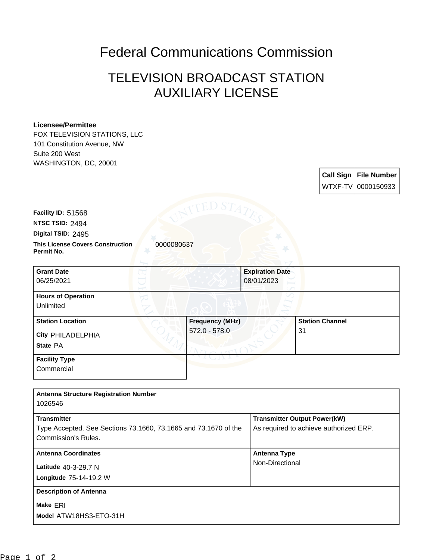## Federal Communications Commission

## TELEVISION BROADCAST STATION AUXILIARY LICENSE

## **Licensee/Permittee**

FOX TELEVISION STATIONS, LLC 101 Constitution Avenue, NW Suite 200 West WASHINGTON, DC, 20001

> **Call Sign File Number** WTXF-TV 0000150933

**NTSC TSID:** 2494 **Facility ID:** 51568

**Digital TSID:** 2495

**This License Covers Construction** 0000080637 **Permit No.**

**State** PA **City** PHILADELPHIA **Grant Date** 06/25/2021 **Expiration Date** 08/01/2023 **Hours of Operation** Unlimited **Station Location Figure 1.1 Construction Frequency (MHz)** 572.0 - 578.0 **Station Channel** 31 **Facility Type Commercial** 

| <b>Antenna Structure Registration Number</b>                    |                                        |
|-----------------------------------------------------------------|----------------------------------------|
| 1026546                                                         |                                        |
| <b>Transmitter</b>                                              | <b>Transmitter Output Power(kW)</b>    |
|                                                                 |                                        |
| Type Accepted. See Sections 73.1660, 73.1665 and 73.1670 of the | As required to achieve authorized ERP. |
| Commission's Rules.                                             |                                        |
|                                                                 |                                        |
| <b>Antenna Coordinates</b>                                      | <b>Antenna Type</b>                    |
| Latitude 40-3-29.7 N                                            | Non-Directional                        |
|                                                                 |                                        |
| Longitude 75-14-19.2 W                                          |                                        |
|                                                                 |                                        |
| <b>Description of Antenna</b>                                   |                                        |
| Make ERI                                                        |                                        |
|                                                                 |                                        |
| Model ATW18HS3-ETO-31H                                          |                                        |
|                                                                 |                                        |